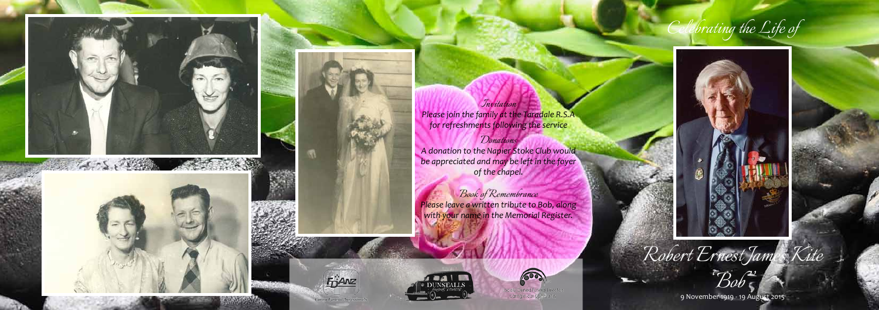



*Robert Ernest James Kite*



9 November 1919 - 19 August 2015





*Donations A donation to the Napier Stoke Club would be appreciated and may be left in the foyer of the chapel.*

*Book of Remembrance Please leave a written tribute to Bob, along with your name in the Memorial Register.*



**FOANZ**